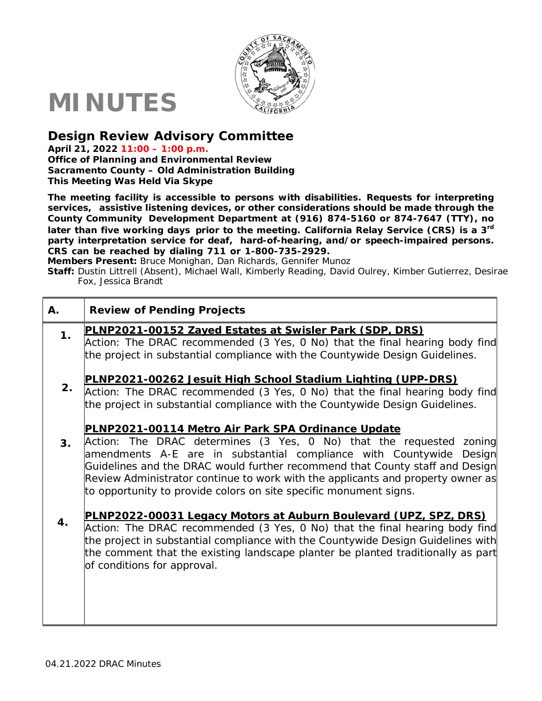

## **MINUTES**

## **Design Review Advisory Committee**

**April 21, 2022 11:00 – 1:00 p.m.**

**Office of Planning and Environmental Review Sacramento County – Old Administration Building This Meeting Was Held Via Skype**

**The meeting facility is accessible to persons with disabilities. Requests for interpreting services, assistive listening devices, or other considerations should be made through the County Community Development Department at (916) 874-5160 or 874-7647 (TTY), no later than five working days prior to the meeting. California Relay Service (CRS) is a 3rd party interpretation service for deaf, hard-of-hearing, and/or speech-impaired persons. CRS can be reached by dialing 711 or 1-800-735-2929.**

**Members Present:** Bruce Monighan, Dan Richards, Gennifer Munoz

**Staff:** Dustin Littrell (Absent), Michael Wall, Kimberly Reading, David Oulrey, Kimber Gutierrez, Desirae Fox, Jessica Brandt

| Α. | <b>Review of Pending Projects</b>                                                                                                                                                                                                                                                                                                                                                                                                        |
|----|------------------------------------------------------------------------------------------------------------------------------------------------------------------------------------------------------------------------------------------------------------------------------------------------------------------------------------------------------------------------------------------------------------------------------------------|
| 1. | PLNP2021-00152 Zayed Estates at Swisler Park (SDP, DRS)                                                                                                                                                                                                                                                                                                                                                                                  |
|    | Action: The DRAC recommended (3 Yes, 0 No) that the final hearing body find<br>the project in substantial compliance with the Countywide Design Guidelines.                                                                                                                                                                                                                                                                              |
| 2. | PLNP2021-00262 Jesuit High School Stadium Lighting (UPP-DRS)<br>Action: The DRAC recommended (3 Yes, 0 No) that the final hearing body find                                                                                                                                                                                                                                                                                              |
|    | the project in substantial compliance with the Countywide Design Guidelines.                                                                                                                                                                                                                                                                                                                                                             |
| 3. | PLNP2021-00114 Metro Air Park SPA Ordinance Update<br>Action: The DRAC determines (3 Yes, 0 No) that the requested zoning<br>amendments A-E are in substantial compliance with Countywide Design<br>Guidelines and the DRAC would further recommend that County staff and Design<br>Review Administrator continue to work with the applicants and property owner as<br>to opportunity to provide colors on site specific monument signs. |
| 4. | PLNP2022-00031 Legacy Motors at Auburn Boulevard (UPZ, SPZ, DRS)<br>Action: The DRAC recommended (3 Yes, 0 No) that the final hearing body find<br>the project in substantial compliance with the Countywide Design Guidelines with<br>the comment that the existing landscape planter be planted traditionally as part<br>of conditions for approval.                                                                                   |
|    |                                                                                                                                                                                                                                                                                                                                                                                                                                          |